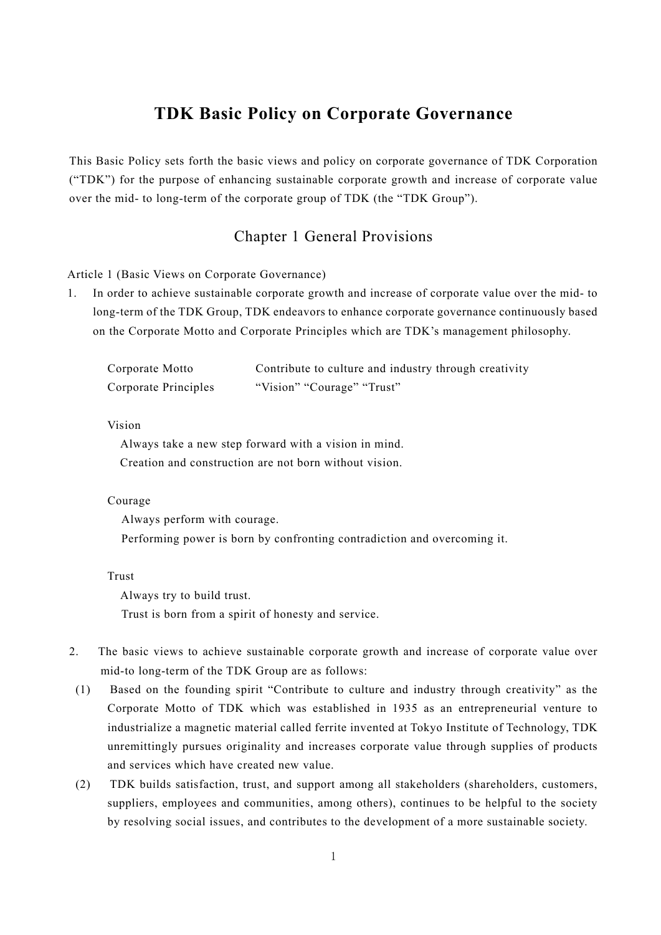# **TDK Basic Policy on Corporate Governance**

This Basic Policy sets forth the basic views and policy on corporate governance of TDK Corporation ("TDK") for the purpose of enhancing sustainable corporate growth and increase of corporate value over the mid- to long-term of the corporate group of TDK (the "TDK Group").

## Chapter 1 General Provisions

Article 1 (Basic Views on Corporate Governance)

1. In order to achieve sustainable corporate growth and increase of corporate value over the mid- to long-term of the TDK Group, TDK endeavors to enhance corporate governance continuously based on the Corporate Motto and Corporate Principles which are TDK's management philosophy.

| Corporate Motto      | Contribute to culture and industry through creativity |
|----------------------|-------------------------------------------------------|
| Corporate Principles | "Vision" "Courage" "Trust"                            |

Vision

 Always take a new step forward with a vision in mind. Creation and construction are not born without vision.

#### Courage

Always perform with courage. Performing power is born by confronting contradiction and overcoming it.

## Trust

Always try to build trust.

Trust is born from a spirit of honesty and service.

- 2. The basic views to achieve sustainable corporate growth and increase of corporate value over mid-to long-term of the TDK Group are as follows:
- (1) Based on the founding spirit "Contribute to culture and industry through creativity" as the Corporate Motto of TDK which was established in 1935 as an entrepreneurial venture to industrialize a magnetic material called ferrite invented at Tokyo Institute of Technology, TDK unremittingly pursues originality and increases corporate value through supplies of products and services which have created new value.
- (2) TDK builds satisfaction, trust, and support among all stakeholders (shareholders, customers, suppliers, employees and communities, among others), continues to be helpful to the society by resolving social issues, and contributes to the development of a more sustainable society.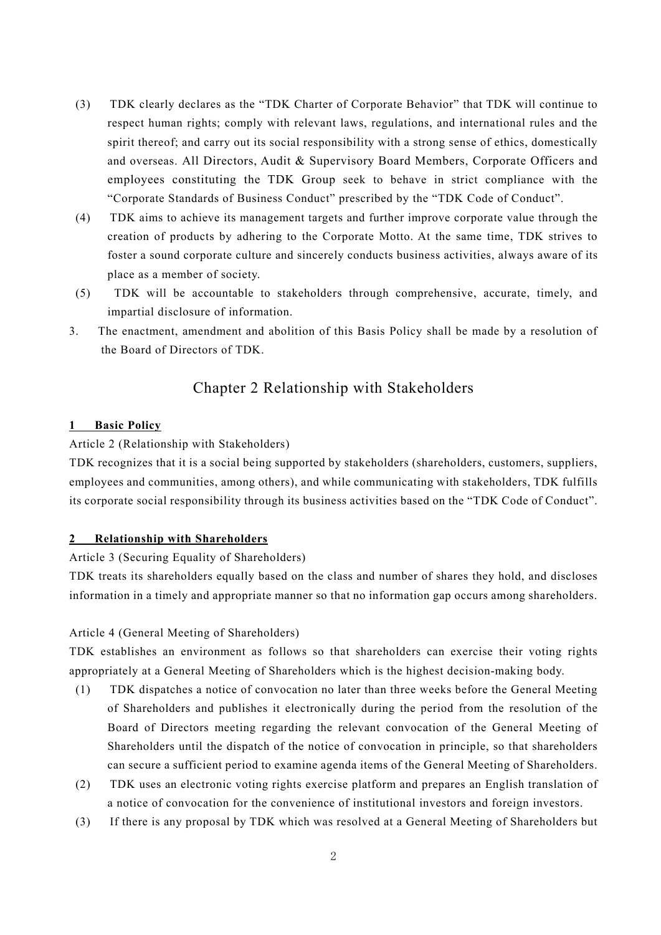- (3) TDK clearly declares as the "TDK Charter of Corporate Behavior" that TDK will continue to respect human rights; comply with relevant laws, regulations, and international rules and the spirit thereof; and carry out its social responsibility with a strong sense of ethics, domestically and overseas. All Directors, Audit & Supervisory Board Members, Corporate Officers and employees constituting the TDK Group seek to behave in strict compliance with the "Corporate Standards of Business Conduct" prescribed by the "TDK Code of Conduct".
- (4) TDK aims to achieve its management targets and further improve corporate value through the creation of products by adhering to the Corporate Motto. At the same time, TDK strives to foster a sound corporate culture and sincerely conducts business activities, always aware of its place as a member of society.
- (5) TDK will be accountable to stakeholders through comprehensive, accurate, timely, and impartial disclosure of information.
- 3. The enactment, amendment and abolition of this Basis Policy shall be made by a resolution of the Board of Directors of TDK.

## Chapter 2 Relationship with Stakeholders

## **1 Basic Policy**

## Article 2 (Relationship with Stakeholders)

TDK recognizes that it is a social being supported by stakeholders (shareholders, customers, suppliers, employees and communities, among others), and while communicating with stakeholders, TDK fulfills its corporate social responsibility through its business activities based on the "TDK Code of Conduct".

## **2 Relationship with Shareholders**

#### Article 3 (Securing Equality of Shareholders)

TDK treats its shareholders equally based on the class and number of shares they hold, and discloses information in a timely and appropriate manner so that no information gap occurs among shareholders.

## Article 4 (General Meeting of Shareholders)

TDK establishes an environment as follows so that shareholders can exercise their voting rights appropriately at a General Meeting of Shareholders which is the highest decision-making body.

- (1) TDK dispatches a notice of convocation no later than three weeks before the General Meeting of Shareholders and publishes it electronically during the period from the resolution of the Board of Directors meeting regarding the relevant convocation of the General Meeting of Shareholders until the dispatch of the notice of convocation in principle, so that shareholders can secure a sufficient period to examine agenda items of the General Meeting of Shareholders.
- (2) TDK uses an electronic voting rights exercise platform and prepares an English translation of a notice of convocation for the convenience of institutional investors and foreign investors.
- (3) If there is any proposal by TDK which was resolved at a General Meeting of Shareholders but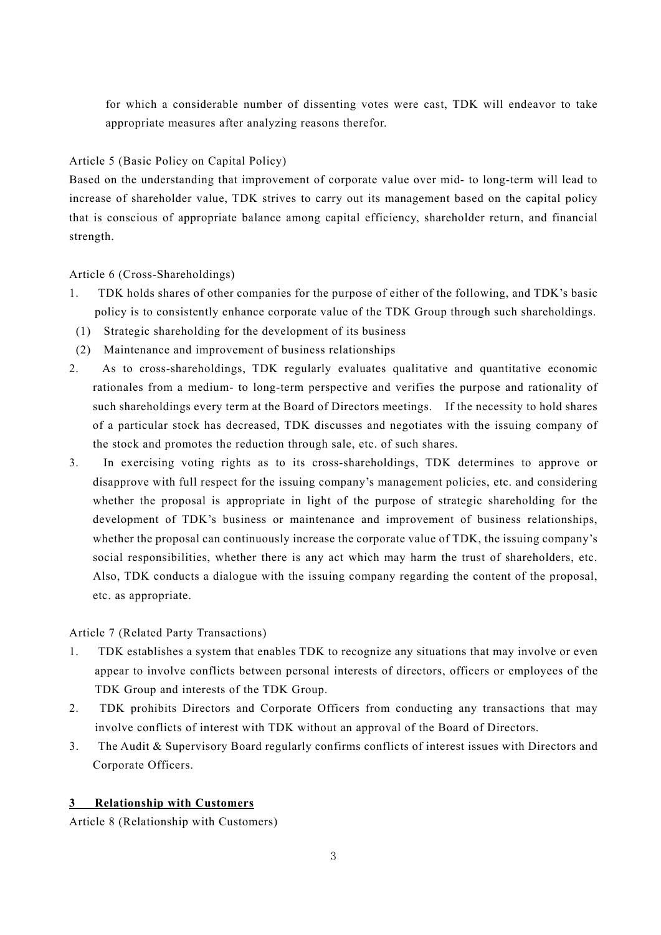for which a considerable number of dissenting votes were cast, TDK will endeavor to take appropriate measures after analyzing reasons therefor.

## Article 5 (Basic Policy on Capital Policy)

Based on the understanding that improvement of corporate value over mid- to long-term will lead to increase of shareholder value, TDK strives to carry out its management based on the capital policy that is conscious of appropriate balance among capital efficiency, shareholder return, and financial strength.

Article 6 (Cross-Shareholdings)

- 1. TDK holds shares of other companies for the purpose of either of the following, and TDK's basic policy is to consistently enhance corporate value of the TDK Group through such shareholdings.
- (1) Strategic shareholding for the development of its business
- (2) Maintenance and improvement of business relationships
- 2. As to cross-shareholdings, TDK regularly evaluates qualitative and quantitative economic rationales from a medium- to long-term perspective and verifies the purpose and rationality of such shareholdings every term at the Board of Directors meetings. If the necessity to hold shares of a particular stock has decreased, TDK discusses and negotiates with the issuing company of the stock and promotes the reduction through sale, etc. of such shares.
- 3. In exercising voting rights as to its cross-shareholdings, TDK determines to approve or disapprove with full respect for the issuing company's management policies, etc. and considering whether the proposal is appropriate in light of the purpose of strategic shareholding for the development of TDK's business or maintenance and improvement of business relationships, whether the proposal can continuously increase the corporate value of TDK, the issuing company's social responsibilities, whether there is any act which may harm the trust of shareholders, etc. Also, TDK conducts a dialogue with the issuing company regarding the content of the proposal, etc. as appropriate.

## Article 7 (Related Party Transactions)

- 1. TDK establishes a system that enables TDK to recognize any situations that may involve or even appear to involve conflicts between personal interests of directors, officers or employees of the TDK Group and interests of the TDK Group.
- 2. TDK prohibits Directors and Corporate Officers from conducting any transactions that may involve conflicts of interest with TDK without an approval of the Board of Directors.
- 3. The Audit & Supervisory Board regularly confirms conflicts of interest issues with Directors and Corporate Officers.

## **3 Relationship with Customers**

Article 8 (Relationship with Customers)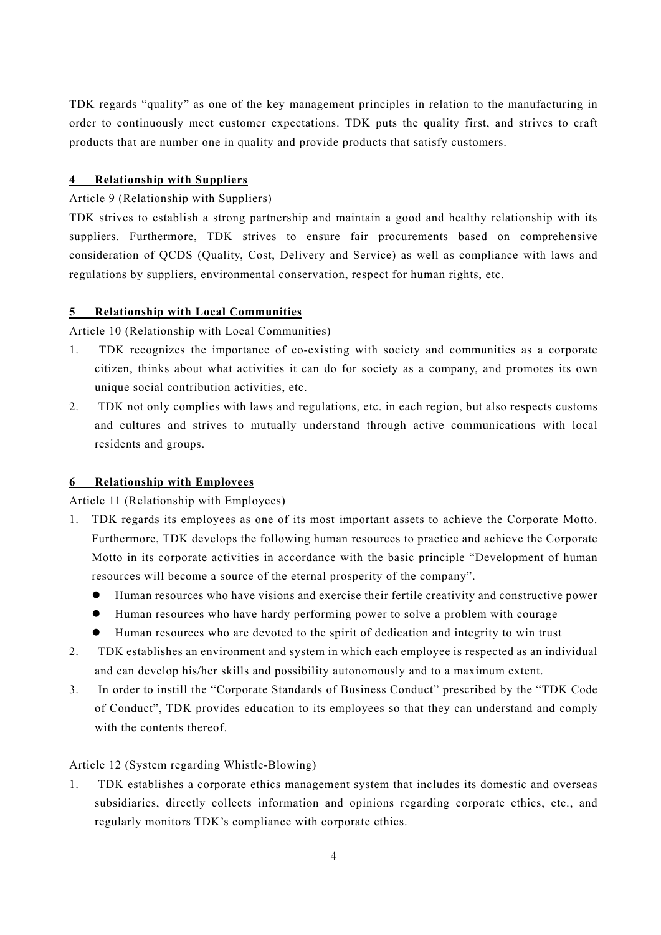TDK regards "quality" as one of the key management principles in relation to the manufacturing in order to continuously meet customer expectations. TDK puts the quality first, and strives to craft products that are number one in quality and provide products that satisfy customers.

#### **4 Relationship with Suppliers**

## Article 9 (Relationship with Suppliers)

TDK strives to establish a strong partnership and maintain a good and healthy relationship with its suppliers. Furthermore, TDK strives to ensure fair procurements based on comprehensive consideration of QCDS (Quality, Cost, Delivery and Service) as well as compliance with laws and regulations by suppliers, environmental conservation, respect for human rights, etc.

#### **5 Relationship with Local Communities**

Article 10 (Relationship with Local Communities)

- 1. TDK recognizes the importance of co-existing with society and communities as a corporate citizen, thinks about what activities it can do for society as a company, and promotes its own unique social contribution activities, etc.
- 2. TDK not only complies with laws and regulations, etc. in each region, but also respects customs and cultures and strives to mutually understand through active communications with local residents and groups.

## **6 Relationship with Employees**

Article 11 (Relationship with Employees)

- 1. TDK regards its employees as one of its most important assets to achieve the Corporate Motto. Furthermore, TDK develops the following human resources to practice and achieve the Corporate Motto in its corporate activities in accordance with the basic principle "Development of human resources will become a source of the eternal prosperity of the company".
	- Human resources who have visions and exercise their fertile creativity and constructive power
	- Human resources who have hardy performing power to solve a problem with courage
	- Human resources who are devoted to the spirit of dedication and integrity to win trust
- 2. TDK establishes an environment and system in which each employee is respected as an individual and can develop his/her skills and possibility autonomously and to a maximum extent.
- 3. In order to instill the "Corporate Standards of Business Conduct" prescribed by the "TDK Code of Conduct", TDK provides education to its employees so that they can understand and comply with the contents thereof.

#### Article 12 (System regarding Whistle-Blowing)

1. TDK establishes a corporate ethics management system that includes its domestic and overseas subsidiaries, directly collects information and opinions regarding corporate ethics, etc., and regularly monitors TDK's compliance with corporate ethics.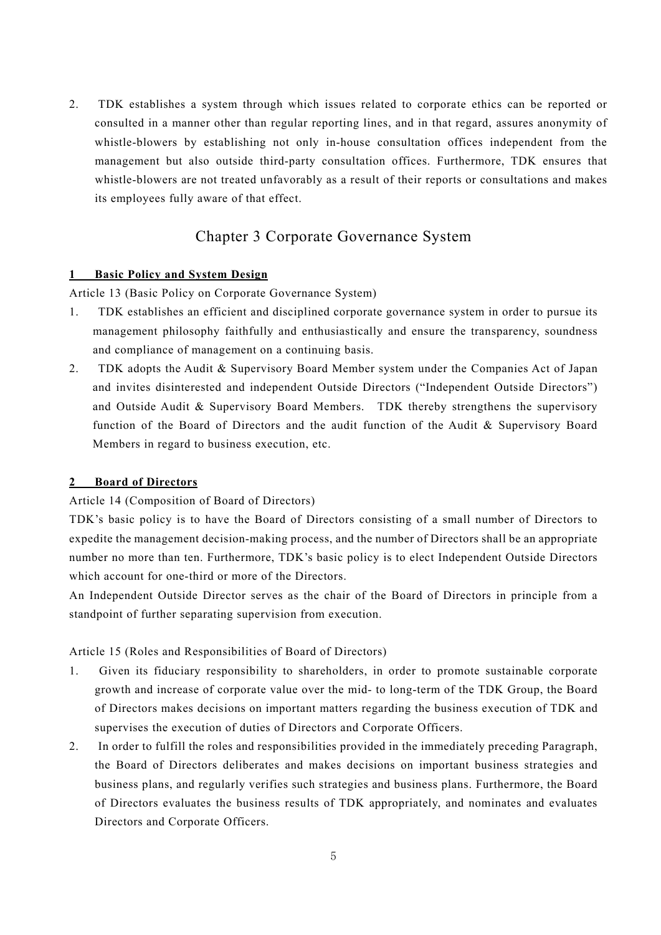2. TDK establishes a system through which issues related to corporate ethics can be reported or consulted in a manner other than regular reporting lines, and in that regard, assures anonymity of whistle-blowers by establishing not only in-house consultation offices independent from the management but also outside third-party consultation offices. Furthermore, TDK ensures that whistle-blowers are not treated unfavorably as a result of their reports or consultations and makes its employees fully aware of that effect.

## Chapter 3 Corporate Governance System

#### **1 Basic Policy and System Design**

Article 13 (Basic Policy on Corporate Governance System)

- 1. TDK establishes an efficient and disciplined corporate governance system in order to pursue its management philosophy faithfully and enthusiastically and ensure the transparency, soundness and compliance of management on a continuing basis.
- 2. TDK adopts the Audit & Supervisory Board Member system under the Companies Act of Japan and invites disinterested and independent Outside Directors ("Independent Outside Directors") and Outside Audit & Supervisory Board Members. TDK thereby strengthens the supervisory function of the Board of Directors and the audit function of the Audit & Supervisory Board Members in regard to business execution, etc.

#### **2 Board of Directors**

#### Article 14 (Composition of Board of Directors)

TDK's basic policy is to have the Board of Directors consisting of a small number of Directors to expedite the management decision-making process, and the number of Directors shall be an appropriate number no more than ten. Furthermore, TDK's basic policy is to elect Independent Outside Directors which account for one-third or more of the Directors.

An Independent Outside Director serves as the chair of the Board of Directors in principle from a standpoint of further separating supervision from execution.

## Article 15 (Roles and Responsibilities of Board of Directors)

- 1. Given its fiduciary responsibility to shareholders, in order to promote sustainable corporate growth and increase of corporate value over the mid- to long-term of the TDK Group, the Board of Directors makes decisions on important matters regarding the business execution of TDK and supervises the execution of duties of Directors and Corporate Officers.
- 2. In order to fulfill the roles and responsibilities provided in the immediately preceding Paragraph, the Board of Directors deliberates and makes decisions on important business strategies and business plans, and regularly verifies such strategies and business plans. Furthermore, the Board of Directors evaluates the business results of TDK appropriately, and nominates and evaluates Directors and Corporate Officers.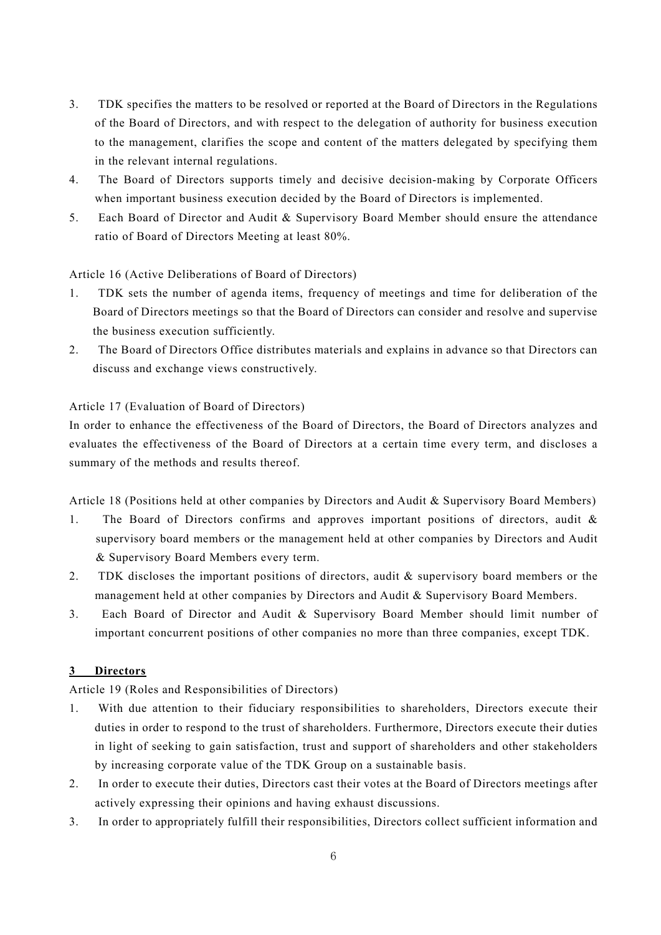- 3. TDK specifies the matters to be resolved or reported at the Board of Directors in the Regulations of the Board of Directors, and with respect to the delegation of authority for business execution to the management, clarifies the scope and content of the matters delegated by specifying them in the relevant internal regulations.
- 4. The Board of Directors supports timely and decisive decision-making by Corporate Officers when important business execution decided by the Board of Directors is implemented.
- 5. Each Board of Director and Audit & Supervisory Board Member should ensure the attendance ratio of Board of Directors Meeting at least 80%.

Article 16 (Active Deliberations of Board of Directors)

- 1. TDK sets the number of agenda items, frequency of meetings and time for deliberation of the Board of Directors meetings so that the Board of Directors can consider and resolve and supervise the business execution sufficiently.
- 2. The Board of Directors Office distributes materials and explains in advance so that Directors can discuss and exchange views constructively.

## Article 17 (Evaluation of Board of Directors)

In order to enhance the effectiveness of the Board of Directors, the Board of Directors analyzes and evaluates the effectiveness of the Board of Directors at a certain time every term, and discloses a summary of the methods and results thereof.

Article 18 (Positions held at other companies by Directors and Audit & Supervisory Board Members)

- 1. The Board of Directors confirms and approves important positions of directors, audit & supervisory board members or the management held at other companies by Directors and Audit & Supervisory Board Members every term.
- 2. TDK discloses the important positions of directors, audit & supervisory board members or the management held at other companies by Directors and Audit & Supervisory Board Members.
- 3. Each Board of Director and Audit & Supervisory Board Member should limit number of important concurrent positions of other companies no more than three companies, except TDK.

## **3 Directors**

Article 19 (Roles and Responsibilities of Directors)

- 1. With due attention to their fiduciary responsibilities to shareholders, Directors execute their duties in order to respond to the trust of shareholders. Furthermore, Directors execute their duties in light of seeking to gain satisfaction, trust and support of shareholders and other stakeholders by increasing corporate value of the TDK Group on a sustainable basis.
- 2. In order to execute their duties, Directors cast their votes at the Board of Directors meetings after actively expressing their opinions and having exhaust discussions.
- 3. In order to appropriately fulfill their responsibilities, Directors collect sufficient information and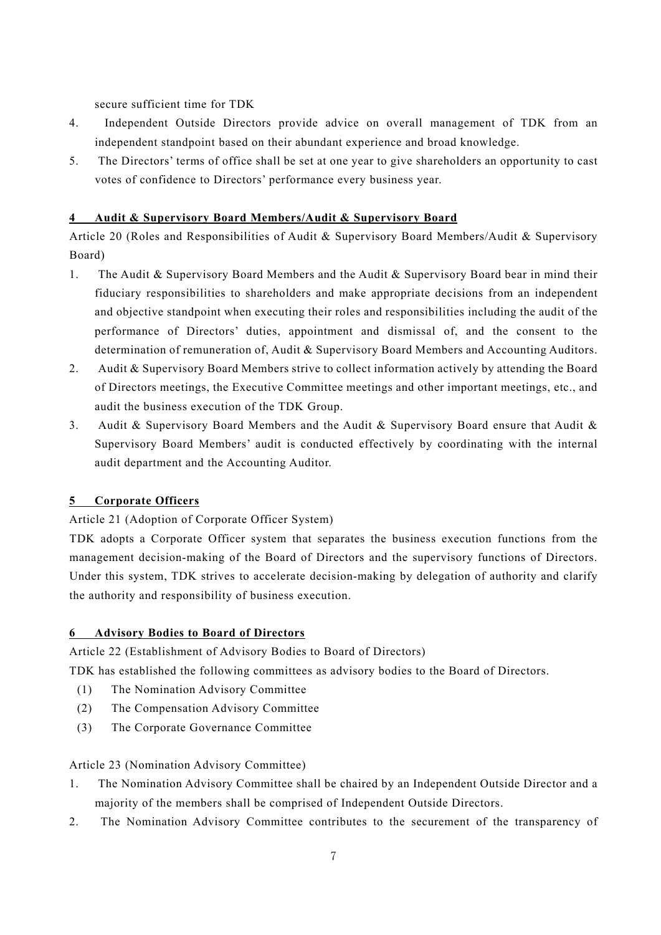secure sufficient time for TDK

- 4. Independent Outside Directors provide advice on overall management of TDK from an independent standpoint based on their abundant experience and broad knowledge.
- 5. The Directors' terms of office shall be set at one year to give shareholders an opportunity to cast votes of confidence to Directors' performance every business year.

## **4 Audit & Supervisory Board Members/Audit & Supervisory Board**

Article 20 (Roles and Responsibilities of Audit & Supervisory Board Members/Audit & Supervisory Board)

- 1. The Audit & Supervisory Board Members and the Audit & Supervisory Board bear in mind their fiduciary responsibilities to shareholders and make appropriate decisions from an independent and objective standpoint when executing their roles and responsibilities including the audit of the performance of Directors' duties, appointment and dismissal of, and the consent to the determination of remuneration of, Audit & Supervisory Board Members and Accounting Auditors.
- 2. Audit & Supervisory Board Members strive to collect information actively by attending the Board of Directors meetings, the Executive Committee meetings and other important meetings, etc., and audit the business execution of the TDK Group.
- 3. Audit & Supervisory Board Members and the Audit & Supervisory Board ensure that Audit & Supervisory Board Members' audit is conducted effectively by coordinating with the internal audit department and the Accounting Auditor.

## **5 Corporate Officers**

## Article 21 (Adoption of Corporate Officer System)

TDK adopts a Corporate Officer system that separates the business execution functions from the management decision-making of the Board of Directors and the supervisory functions of Directors. Under this system, TDK strives to accelerate decision-making by delegation of authority and clarify the authority and responsibility of business execution.

## **6 Advisory Bodies to Board of Directors**

Article 22 (Establishment of Advisory Bodies to Board of Directors)

TDK has established the following committees as advisory bodies to the Board of Directors.

- (1) The Nomination Advisory Committee
- (2) The Compensation Advisory Committee
- (3) The Corporate Governance Committee

## Article 23 (Nomination Advisory Committee)

- 1. The Nomination Advisory Committee shall be chaired by an Independent Outside Director and a majority of the members shall be comprised of Independent Outside Directors.
- 2. The Nomination Advisory Committee contributes to the securement of the transparency of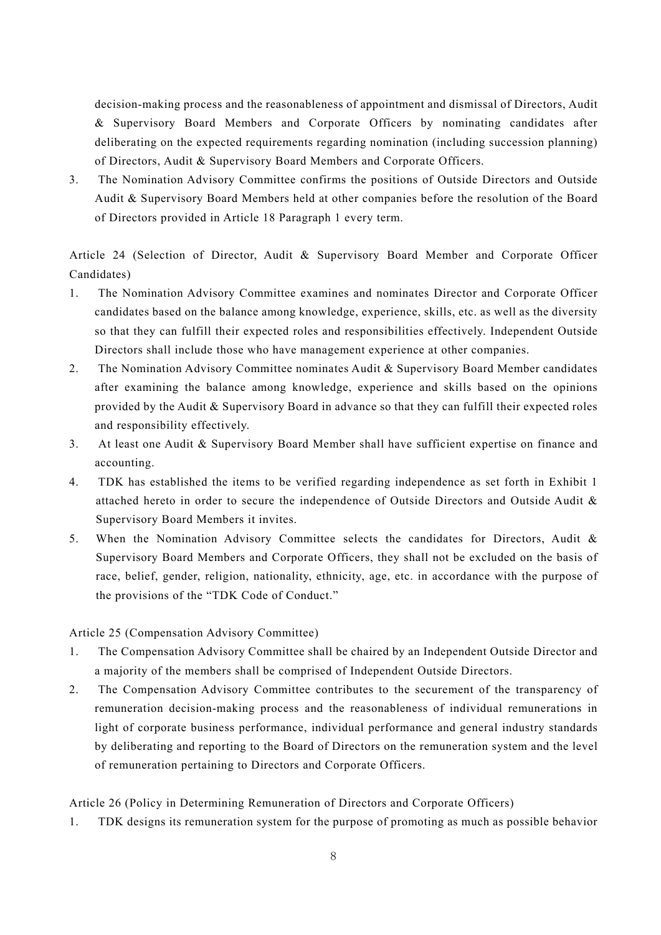decision-making process and the reasonableness of appointment and dismissal of Directors, Audit & Supervisory Board Members and Corporate Officers by nominating candidates after deliberating on the expected requirements regarding nomination (including succession planning) of Directors, Audit & Supervisory Board Members and Corporate Officers.

3. The Nomination Advisory Committee confirms the positions of Outside Directors and Outside Audit & Supervisory Board Members held at other companies before the resolution of the Board of Directors provided in Article 18 Paragraph 1 every term.

Article 24 (Selection of Director, Audit & Supervisory Board Member and Corporate Officer Candidates)

- 1. The Nomination Advisory Committee examines and nominates Director and Corporate Officer candidates based on the balance among knowledge, experience, skills, etc. as well as the diversity so that they can fulfill their expected roles and responsibilities effectively. Independent Outside Directors shall include those who have management experience at other companies.
- 2. The Nomination Advisory Committee nominates Audit & Supervisory Board Member candidates after examining the balance among knowledge, experience and skills based on the opinions provided by the Audit & Supervisory Board in advance so that they can fulfill their expected roles and responsibility effectively.
- 3. At least one Audit & Supervisory Board Member shall have sufficient expertise on finance and accounting.
- 4. TDK has established the items to be verified regarding independence as set forth in Exhibit 1 attached hereto in order to secure the independence of Outside Directors and Outside Audit & Supervisory Board Members it invites.
- 5. When the Nomination Advisory Committee selects the candidates for Directors, Audit & Supervisory Board Members and Corporate Officers, they shall not be excluded on the basis of race, belief, gender, religion, nationality, ethnicity, age, etc. in accordance with the purpose of the provisions of the "TDK Code of Conduct."

Article 25 (Compensation Advisory Committee)

- 1. The Compensation Advisory Committee shall be chaired by an Independent Outside Director and a majority of the members shall be comprised of Independent Outside Directors.
- 2. The Compensation Advisory Committee contributes to the securement of the transparency of remuneration decision-making process and the reasonableness of individual remunerations in light of corporate business performance, individual performance and general industry standards by deliberating and reporting to the Board of Directors on the remuneration system and the level of remuneration pertaining to Directors and Corporate Officers.

Article 26 (Policy in Determining Remuneration of Directors and Corporate Officers)

1. TDK designs its remuneration system for the purpose of promoting as much as possible behavior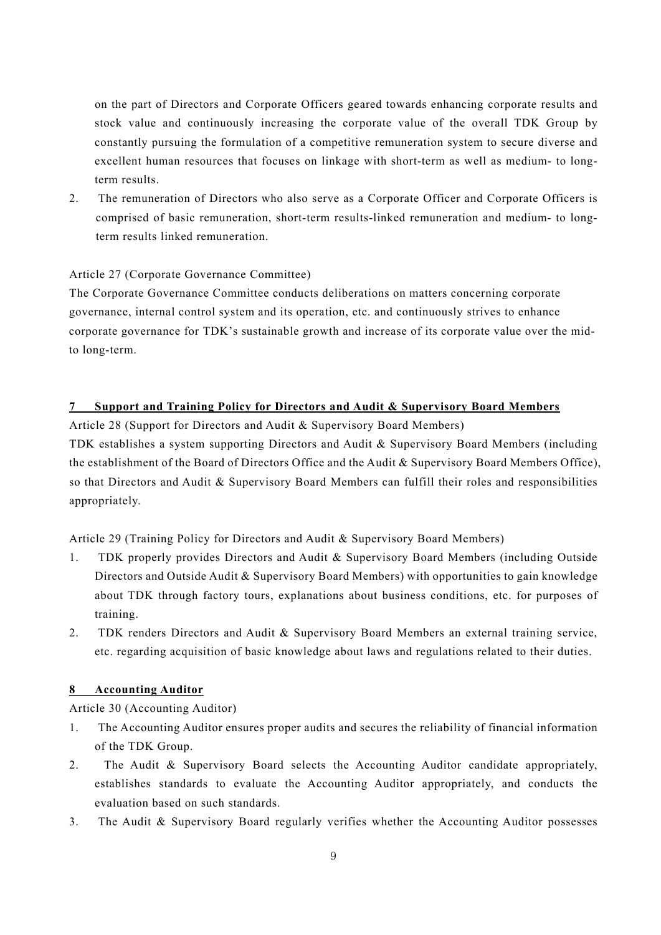on the part of Directors and Corporate Officers geared towards enhancing corporate results and stock value and continuously increasing the corporate value of the overall TDK Group by constantly pursuing the formulation of a competitive remuneration system to secure diverse and excellent human resources that focuses on linkage with short-term as well as medium- to longterm results.

2. The remuneration of Directors who also serve as a Corporate Officer and Corporate Officers is comprised of basic remuneration, short-term results-linked remuneration and medium- to longterm results linked remuneration.

## Article 27 (Corporate Governance Committee)

The Corporate Governance Committee conducts deliberations on matters concerning corporate governance, internal control system and its operation, etc. and continuously strives to enhance corporate governance for TDK's sustainable growth and increase of its corporate value over the midto long-term.

## **7 Support and Training Policy for Directors and Audit & Supervisory Board Members**

Article 28 (Support for Directors and Audit & Supervisory Board Members)

TDK establishes a system supporting Directors and Audit & Supervisory Board Members (including the establishment of the Board of Directors Office and the Audit & Supervisory Board Members Office), so that Directors and Audit & Supervisory Board Members can fulfill their roles and responsibilities appropriately.

Article 29 (Training Policy for Directors and Audit & Supervisory Board Members)

- 1. TDK properly provides Directors and Audit & Supervisory Board Members (including Outside Directors and Outside Audit & Supervisory Board Members) with opportunities to gain knowledge about TDK through factory tours, explanations about business conditions, etc. for purposes of training.
- 2. TDK renders Directors and Audit & Supervisory Board Members an external training service, etc. regarding acquisition of basic knowledge about laws and regulations related to their duties.

## **8 Accounting Auditor**

Article 30 (Accounting Auditor)

- 1. The Accounting Auditor ensures proper audits and secures the reliability of financial information of the TDK Group.
- 2. The Audit & Supervisory Board selects the Accounting Auditor candidate appropriately, establishes standards to evaluate the Accounting Auditor appropriately, and conducts the evaluation based on such standards.
- 3. The Audit & Supervisory Board regularly verifies whether the Accounting Auditor possesses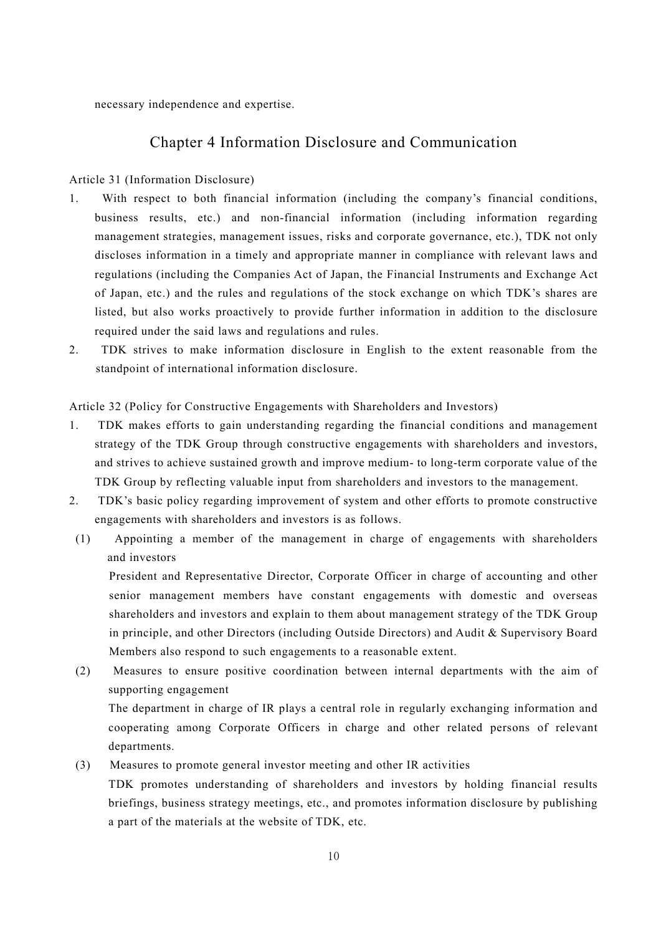necessary independence and expertise.

## Chapter 4 Information Disclosure and Communication

#### Article 31 (Information Disclosure)

- 1. With respect to both financial information (including the company's financial conditions, business results, etc.) and non-financial information (including information regarding management strategies, management issues, risks and corporate governance, etc.), TDK not only discloses information in a timely and appropriate manner in compliance with relevant laws and regulations (including the Companies Act of Japan, the Financial Instruments and Exchange Act of Japan, etc.) and the rules and regulations of the stock exchange on which TDK's shares are listed, but also works proactively to provide further information in addition to the disclosure required under the said laws and regulations and rules.
- 2. TDK strives to make information disclosure in English to the extent reasonable from the standpoint of international information disclosure.

Article 32 (Policy for Constructive Engagements with Shareholders and Investors)

- 1. TDK makes efforts to gain understanding regarding the financial conditions and management strategy of the TDK Group through constructive engagements with shareholders and investors, and strives to achieve sustained growth and improve medium- to long-term corporate value of the TDK Group by reflecting valuable input from shareholders and investors to the management.
- 2. TDK's basic policy regarding improvement of system and other efforts to promote constructive engagements with shareholders and investors is as follows.
- (1) Appointing a member of the management in charge of engagements with shareholders and investors

President and Representative Director, Corporate Officer in charge of accounting and other senior management members have constant engagements with domestic and overseas shareholders and investors and explain to them about management strategy of the TDK Group in principle, and other Directors (including Outside Directors) and Audit & Supervisory Board Members also respond to such engagements to a reasonable extent.

(2) Measures to ensure positive coordination between internal departments with the aim of supporting engagement

The department in charge of IR plays a central role in regularly exchanging information and cooperating among Corporate Officers in charge and other related persons of relevant departments.

#### (3) Measures to promote general investor meeting and other IR activities

TDK promotes understanding of shareholders and investors by holding financial results briefings, business strategy meetings, etc., and promotes information disclosure by publishing a part of the materials at the website of TDK, etc.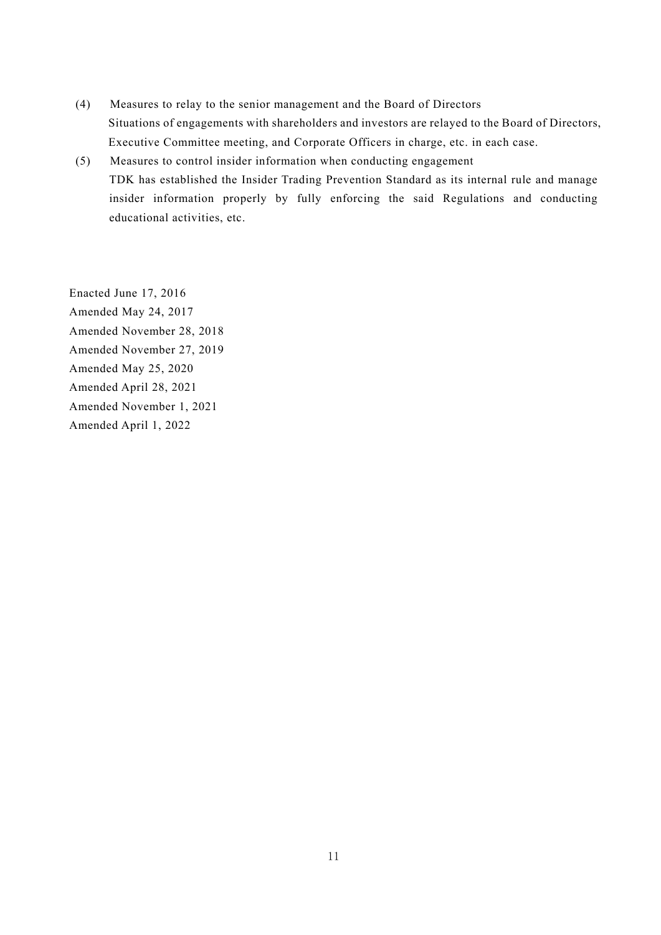- (4) Measures to relay to the senior management and the Board of Directors Situations of engagements with shareholders and investors are relayed to the Board of Directors, Executive Committee meeting, and Corporate Officers in charge, etc. in each case.
- (5) Measures to control insider information when conducting engagement TDK has established the Insider Trading Prevention Standard as its internal rule and manage insider information properly by fully enforcing the said Regulations and conducting educational activities, etc.

Enacted June 17, 2016 Amended May 24, 2017 Amended November 28, 2018 Amended November 27, 2019 Amended May 25, 2020 Amended April 28, 2021 Amended November 1, 2021 Amended April 1, 2022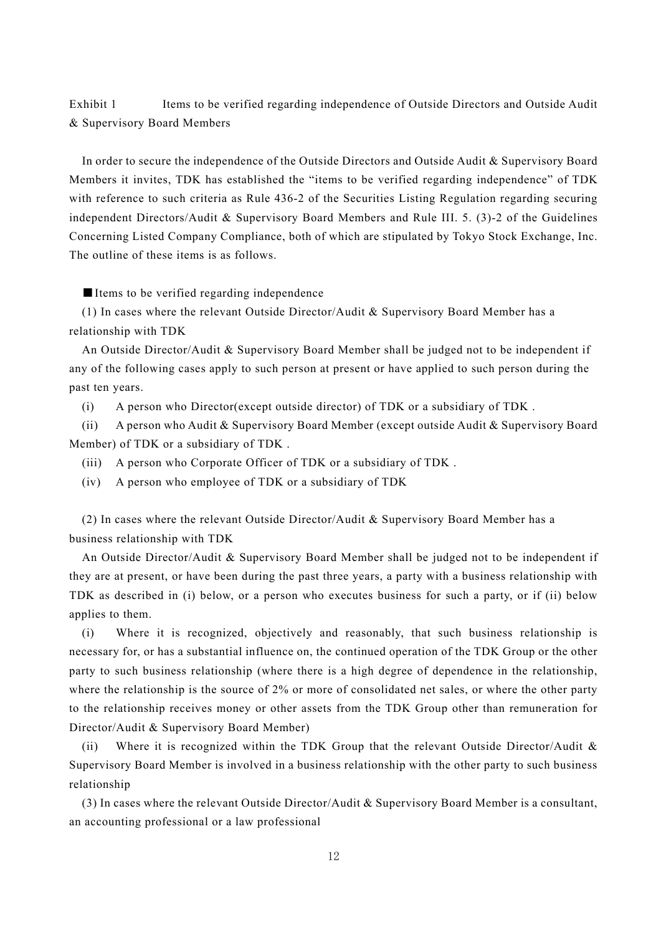Exhibit 1 Items to be verified regarding independence of Outside Directors and Outside Audit & Supervisory Board Members

In order to secure the independence of the Outside Directors and Outside Audit & Supervisory Board Members it invites, TDK has established the "items to be verified regarding independence" of TDK with reference to such criteria as Rule 436-2 of the Securities Listing Regulation regarding securing independent Directors/Audit & Supervisory Board Members and Rule III. 5. (3)-2 of the Guidelines Concerning Listed Company Compliance, both of which are stipulated by Tokyo Stock Exchange, Inc. The outline of these items is as follows.

■ Items to be verified regarding independence

(1) In cases where the relevant Outside Director/Audit & Supervisory Board Member has a relationship with TDK

An Outside Director/Audit & Supervisory Board Member shall be judged not to be independent if any of the following cases apply to such person at present or have applied to such person during the past ten years.

(i) A person who Director(except outside director) of TDK or a subsidiary of TDK .

(ii) A person who Audit & Supervisory Board Member (except outside Audit & Supervisory Board Member) of TDK or a subsidiary of TDK .

- (iii) A person who Corporate Officer of TDK or a subsidiary of TDK .
- (iv) A person who employee of TDK or a subsidiary of TDK

(2) In cases where the relevant Outside Director/Audit & Supervisory Board Member has a business relationship with TDK

An Outside Director/Audit & Supervisory Board Member shall be judged not to be independent if they are at present, or have been during the past three years, a party with a business relationship with TDK as described in (i) below, or a person who executes business for such a party, or if (ii) below applies to them.

(i) Where it is recognized, objectively and reasonably, that such business relationship is necessary for, or has a substantial influence on, the continued operation of the TDK Group or the other party to such business relationship (where there is a high degree of dependence in the relationship, where the relationship is the source of 2% or more of consolidated net sales, or where the other party to the relationship receives money or other assets from the TDK Group other than remuneration for Director/Audit & Supervisory Board Member)

(ii) Where it is recognized within the TDK Group that the relevant Outside Director/Audit & Supervisory Board Member is involved in a business relationship with the other party to such business relationship

(3) In cases where the relevant Outside Director/Audit & Supervisory Board Member is a consultant, an accounting professional or a law professional